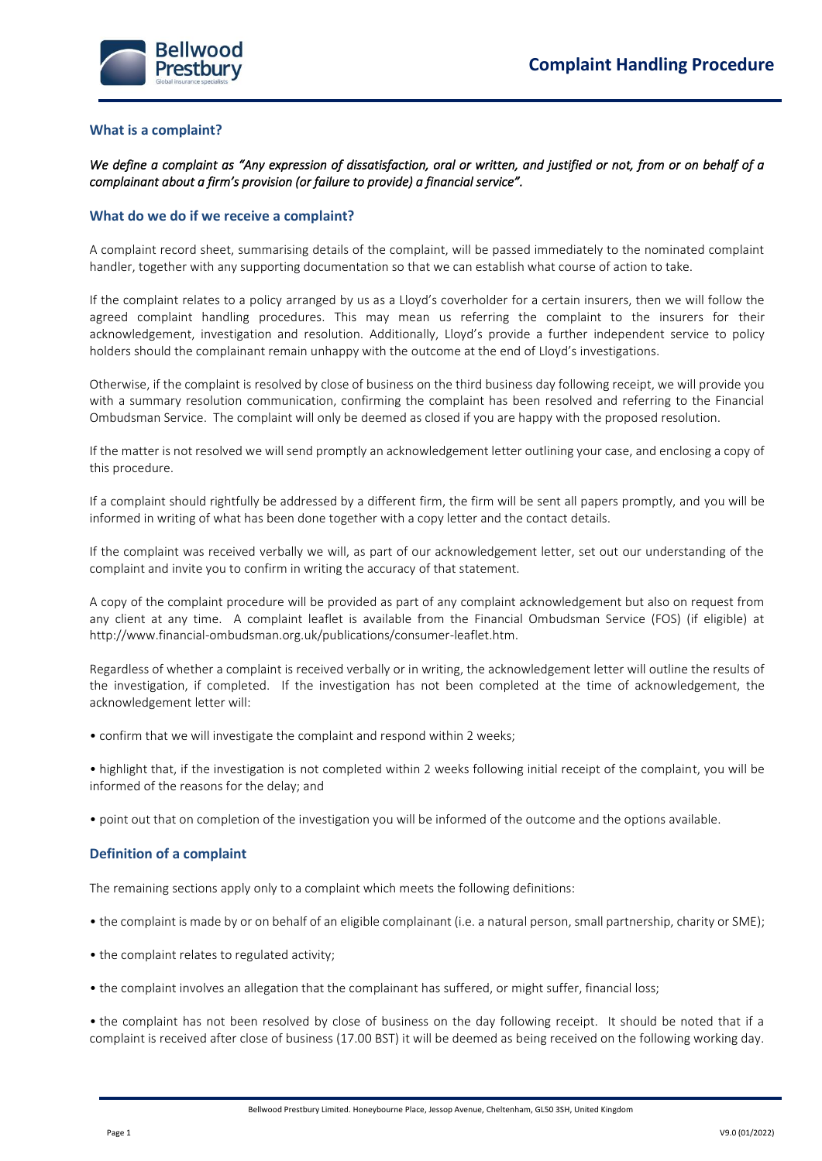

#### **What is a complaint?**

*We define a complaint as "Any expression of dissatisfaction, oral or written, and justified or not, from or on behalf of a complainant about a firm's provision (or failure to provide) a financial service".* 

#### **What do we do if we receive a complaint?**

A complaint record sheet, summarising details of the complaint, will be passed immediately to the nominated complaint handler, together with any supporting documentation so that we can establish what course of action to take.

If the complaint relates to a policy arranged by us as a Lloyd's coverholder for a certain insurers, then we will follow the agreed complaint handling procedures. This may mean us referring the complaint to the insurers for their acknowledgement, investigation and resolution. Additionally, Lloyd's provide a further independent service to policy holders should the complainant remain unhappy with the outcome at the end of Lloyd's investigations.

Otherwise, if the complaint is resolved by close of business on the third business day following receipt, we will provide you with a summary resolution communication, confirming the complaint has been resolved and referring to the Financial Ombudsman Service. The complaint will only be deemed as closed if you are happy with the proposed resolution.

If the matter is not resolved we will send promptly an acknowledgement letter outlining your case, and enclosing a copy of this procedure.

If a complaint should rightfully be addressed by a different firm, the firm will be sent all papers promptly, and you will be informed in writing of what has been done together with a copy letter and the contact details.

If the complaint was received verbally we will, as part of our acknowledgement letter, set out our understanding of the complaint and invite you to confirm in writing the accuracy of that statement.

A copy of the complaint procedure will be provided as part of any complaint acknowledgement but also on request from any client at any time. A complaint leaflet is available from the Financial Ombudsman Service (FOS) (if eligible) at http://www.financial-ombudsman.org.uk/publications/consumer-leaflet.htm.

Regardless of whether a complaint is received verbally or in writing, the acknowledgement letter will outline the results of the investigation, if completed. If the investigation has not been completed at the time of acknowledgement, the acknowledgement letter will:

• confirm that we will investigate the complaint and respond within 2 weeks;

• highlight that, if the investigation is not completed within 2 weeks following initial receipt of the complaint, you will be informed of the reasons for the delay; and

• point out that on completion of the investigation you will be informed of the outcome and the options available.

### **Definition of a complaint**

The remaining sections apply only to a complaint which meets the following definitions:

- the complaint is made by or on behalf of an eligible complainant (i.e. a natural person, small partnership, charity or SME);
- the complaint relates to regulated activity;
- the complaint involves an allegation that the complainant has suffered, or might suffer, financial loss;

• the complaint has not been resolved by close of business on the day following receipt. It should be noted that if a complaint is received after close of business (17.00 BST) it will be deemed as being received on the following working day.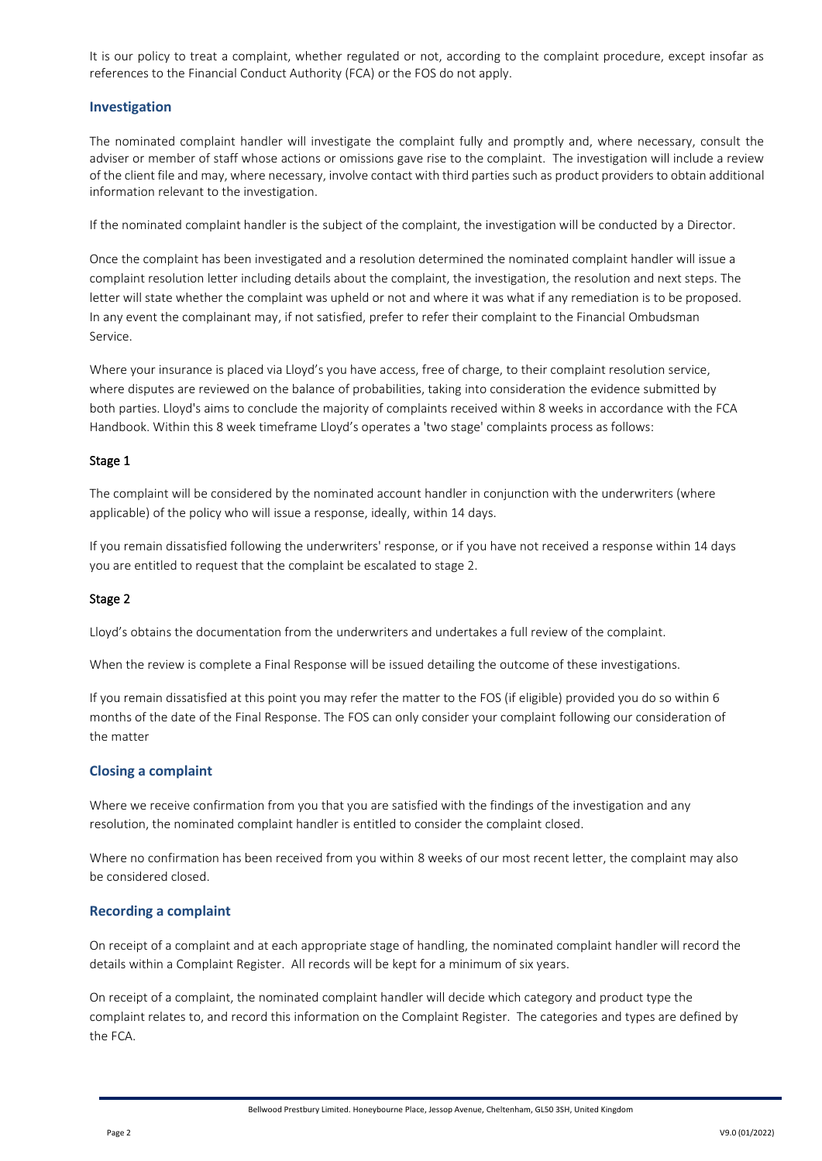It is our policy to treat a complaint, whether regulated or not, according to the complaint procedure, except insofar as references to the Financial Conduct Authority (FCA) or the FOS do not apply.

## **Investigation**

The nominated complaint handler will investigate the complaint fully and promptly and, where necessary, consult the adviser or member of staff whose actions or omissions gave rise to the complaint. The investigation will include a review of the client file and may, where necessary, involve contact with third parties such as product providers to obtain additional information relevant to the investigation.

If the nominated complaint handler is the subject of the complaint, the investigation will be conducted by a Director.

Once the complaint has been investigated and a resolution determined the nominated complaint handler will issue a complaint resolution letter including details about the complaint, the investigation, the resolution and next steps. The letter will state whether the complaint was upheld or not and where it was what if any remediation is to be proposed. In any event the complainant may, if not satisfied, prefer to refer their complaint to the Financial Ombudsman Service.

Where your insurance is placed via Lloyd's you have access, free of charge, to their complaint resolution service, where disputes are reviewed on the balance of probabilities, taking into consideration the evidence submitted by both parties. Lloyd's aims to conclude the majority of complaints received within 8 weeks in accordance with the FCA Handbook. Within this 8 week timeframe Lloyd's operates a 'two stage' complaints process as follows:

## Stage 1

The complaint will be considered by the nominated account handler in conjunction with the underwriters (where applicable) of the policy who will issue a response, ideally, within 14 days.

If you remain dissatisfied following the underwriters' response, or if you have not received a response within 14 days you are entitled to request that the complaint be escalated to stage 2.

### Stage 2

Lloyd's obtains the documentation from the underwriters and undertakes a full review of the complaint.

When the review is complete a Final Response will be issued detailing the outcome of these investigations.

If you remain dissatisfied at this point you may refer the matter to the FOS (if eligible) provided you do so within 6 months of the date of the Final Response. The FOS can only consider your complaint following our consideration of the matter

### **Closing a complaint**

Where we receive confirmation from you that you are satisfied with the findings of the investigation and any resolution, the nominated complaint handler is entitled to consider the complaint closed.

Where no confirmation has been received from you within 8 weeks of our most recent letter, the complaint may also be considered closed.

### **Recording a complaint**

On receipt of a complaint and at each appropriate stage of handling, the nominated complaint handler will record the details within a Complaint Register. All records will be kept for a minimum of six years.

On receipt of a complaint, the nominated complaint handler will decide which category and product type the complaint relates to, and record this information on the Complaint Register. The categories and types are defined by the FCA.